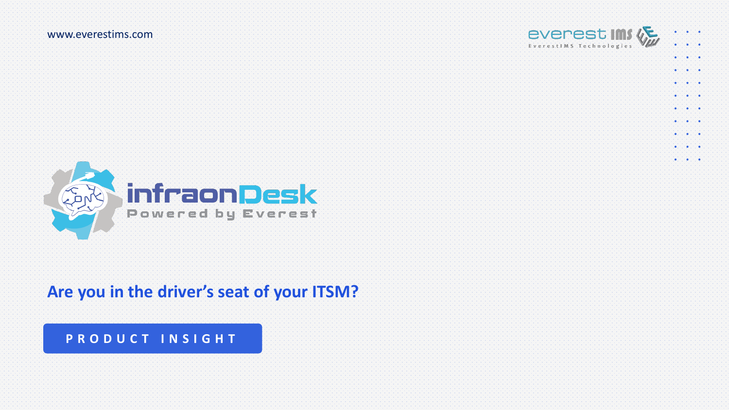

 $\begin{picture}(180,10) \put(0,0){\line(1,0){10}} \put(10,0){\line(1,0){10}} \put(10,0){\line(1,0){10}} \put(10,0){\line(1,0){10}} \put(10,0){\line(1,0){10}} \put(10,0){\line(1,0){10}} \put(10,0){\line(1,0){10}} \put(10,0){\line(1,0){10}} \put(10,0){\line(1,0){10}} \put(10,0){\line(1,0){10}} \put(10,0){\line(1,0){10}} \put(10,0){\line($  $\begin{array}{l} \bullet, \uparrow, \uparrow, \bullet, \uparrow, \uparrow, \uparrow \bullet \end{array}$ . . . . . . .  $\mathbf{a}^{\prime} \in \left\{ \mathbf{a}^{\prime} \in \left\{ \mathbf{a}^{\prime} \right\} \right\}$  $90.7191739$  $\begin{picture}(180,10) \put(0,0){\line(1,0){10}} \put(10,0){\line(1,0){10}} \put(10,0){\line(1,0){10}} \put(10,0){\line(1,0){10}} \put(10,0){\line(1,0){10}} \put(10,0){\line(1,0){10}} \put(10,0){\line(1,0){10}} \put(10,0){\line(1,0){10}} \put(10,0){\line(1,0){10}} \put(10,0){\line(1,0){10}} \put(10,0){\line(1,0){10}} \put(10,0){\line($  $\begin{bmatrix} \mathbf{0},\mathbf{0},\mathbf{0},\mathbf{0},\mathbf{0},\mathbf{0},\mathbf{0},\mathbf{0},\mathbf{0},\mathbf{0},\mathbf{0},\mathbf{0},\mathbf{0},\mathbf{0},\mathbf{0},\mathbf{0},\mathbf{0},\mathbf{0},\mathbf{0},\mathbf{0},\mathbf{0},\mathbf{0},\mathbf{0},\mathbf{0},\mathbf{0},\mathbf{0},\mathbf{0},\mathbf{0},\mathbf{0},\mathbf{0},\mathbf{0},\mathbf{0},\mathbf{0},\mathbf{0},\mathbf{0},\mathbf{$  $\mathbf{a}^{\prime} \in \left\{ \mathbf{a}^{\prime} \in \left\{ \mathbf{a}^{\prime} \right\} \right\}$ 



### **Are you in the driver's seat of your ITSM?**

#### **P R O D U C T I N S I G H T**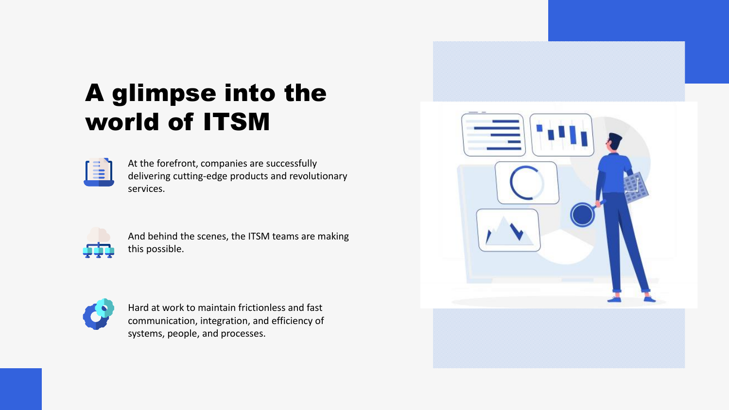# A glimpse into the world of ITSM



At the forefront, companies are successfully delivering cutting-edge products and revolutionary services.



And behind the scenes, the ITSM teams are making this possible.



Hard at work to maintain frictionless and fast communication, integration, and efficiency of systems, people, and processes.

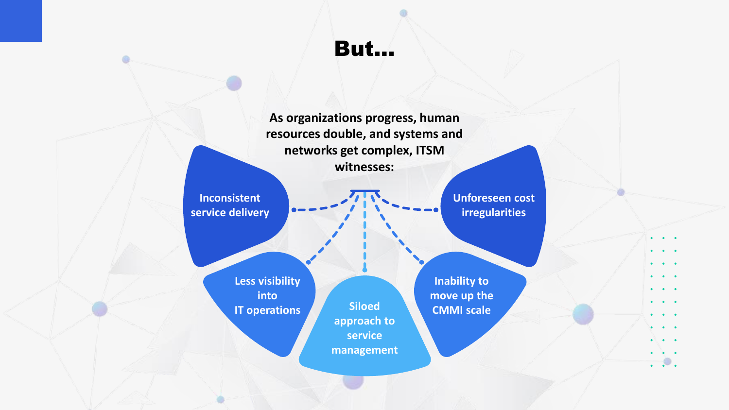But…

 $\oplus$ 

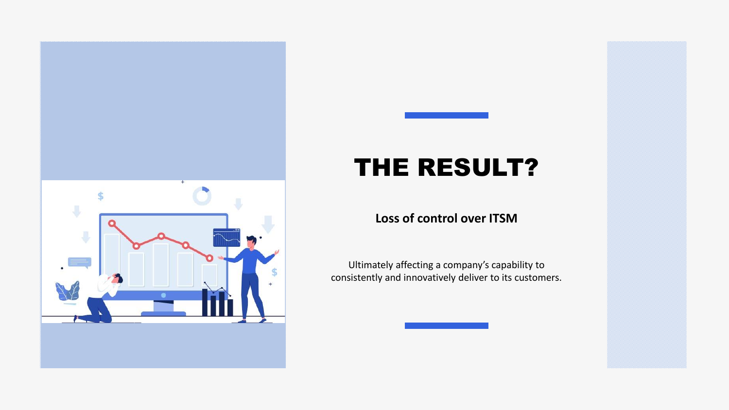

# THE RESULT?

#### **Loss of control over ITSM**

Ultimately affecting a company's capability to consistently and innovatively deliver to its customers.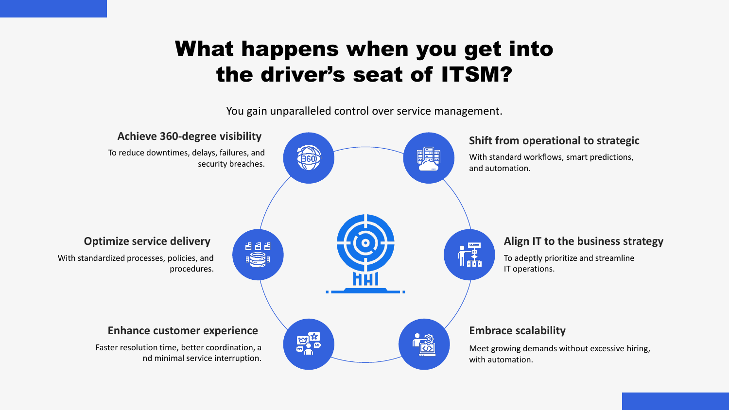### What happens when you get into the driver's seat of ITSM?

You gain unparalleled control over service management.

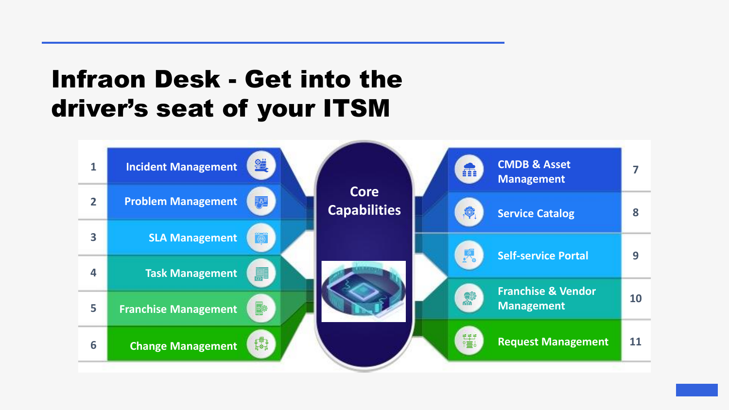# Infraon Desk - Get into the driver's seat of your ITSM

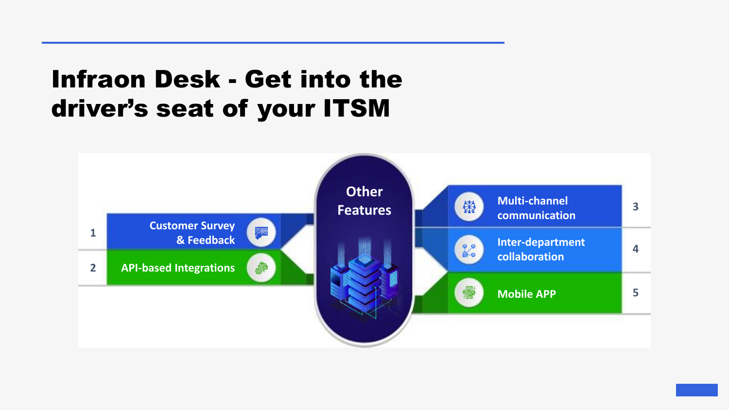## Infraon Desk - Get into the driver's seat of your ITSM

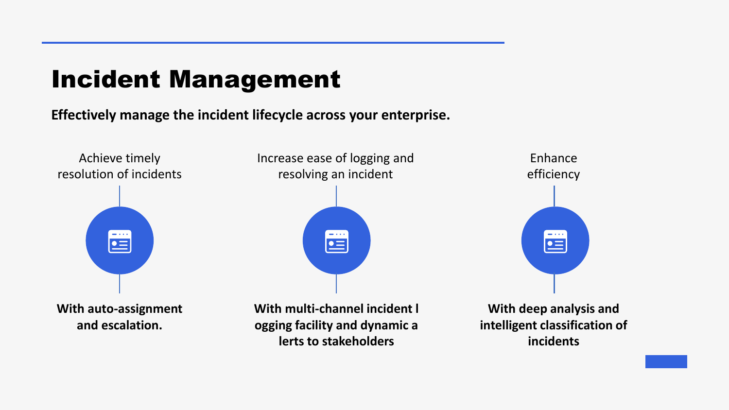## Incident Management

#### **Effectively manage the incident lifecycle across your enterprise.**



**lerts to stakeholders**

**With deep analysis and intelligent classification of incidents**



Enhance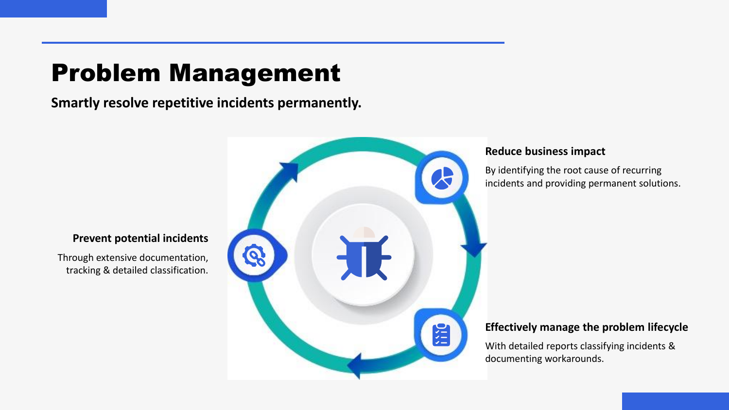# Problem Management

**Smartly resolve repetitive incidents permanently.**



#### **Reduce business impact**

By identifying the root cause of recurring incidents and providing permanent solutions.

#### **Effectively manage the problem lifecycle**

With detailed reports classifying incidents & documenting workarounds.

#### **Prevent potential incidents**

Through extensive documentation, tracking & detailed classification.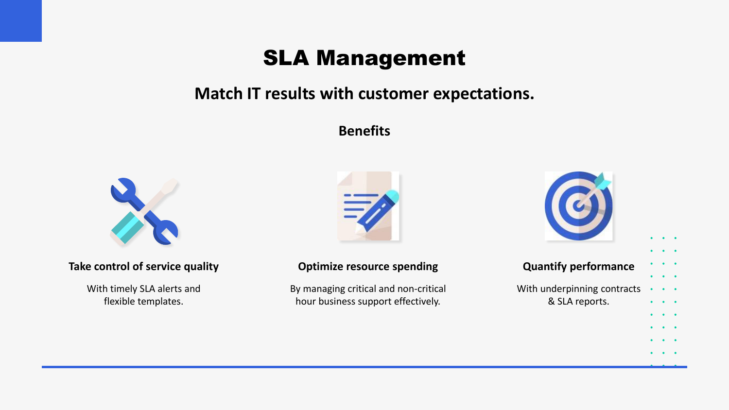### SLA Management

### **Match IT results with customer expectations.**

#### **Benefits**



#### **Take control of service quality**

With timely SLA alerts and flexible templates.



#### **Optimize resource spending**

By managing critical and non-critical hour business support effectively.



 $\bullet$  $\bullet$ 

 $\bullet$  .  $\bullet$  $\bullet$ 

 $\bullet$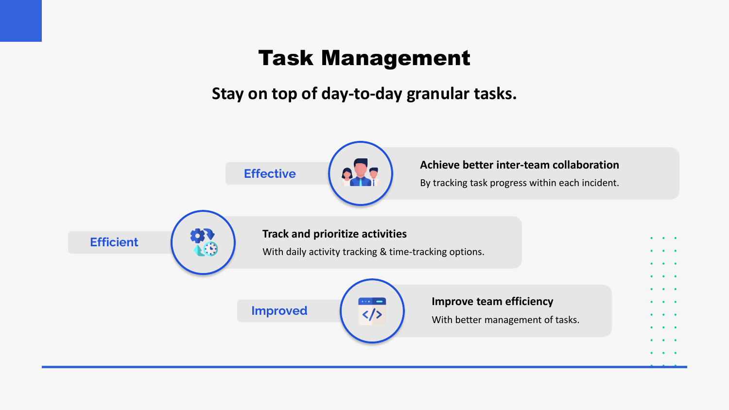### Task Management

**Stay on top of day-to-day granular tasks.**

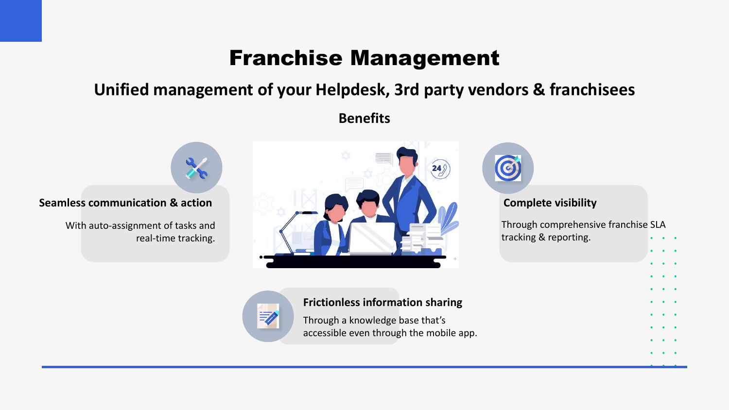### Franchise Management

### **Unified management of your Helpdesk, 3rd party vendors & franchisees**

**Benefits**

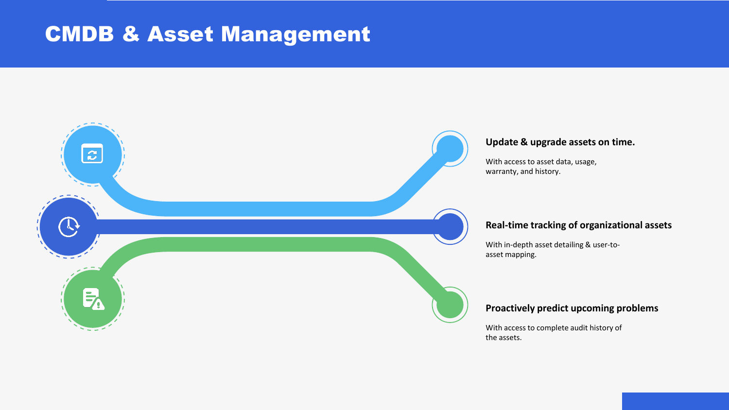### CMDB & Asset Management



#### **Update & upgrade assets on time.**

With access to asset data, usage, warranty, and history.

#### **Real-time tracking of organizational assets**

With in-depth asset detailing & user-toasset mapping.

#### **Proactively predict upcoming problems**

With access to complete audit history of the assets.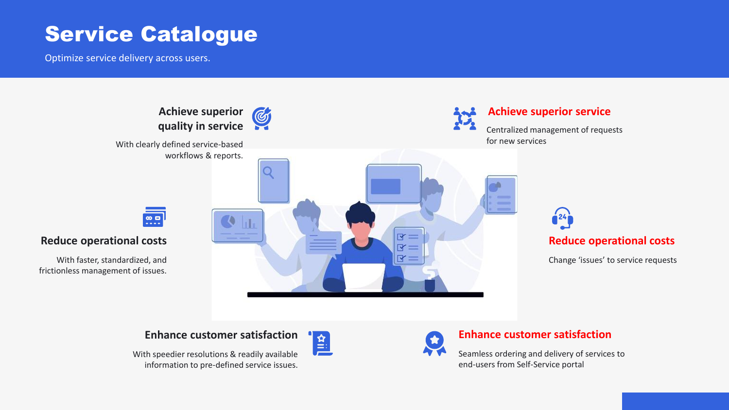### Service Catalogue

Optimize service delivery across users.



#### **Enhance customer satisfaction**

With speedier resolutions & readily available information to pre-defined service issues.



#### **Enhance customer satisfaction**

Seamless ordering and delivery of services to end-users from Self-Service portal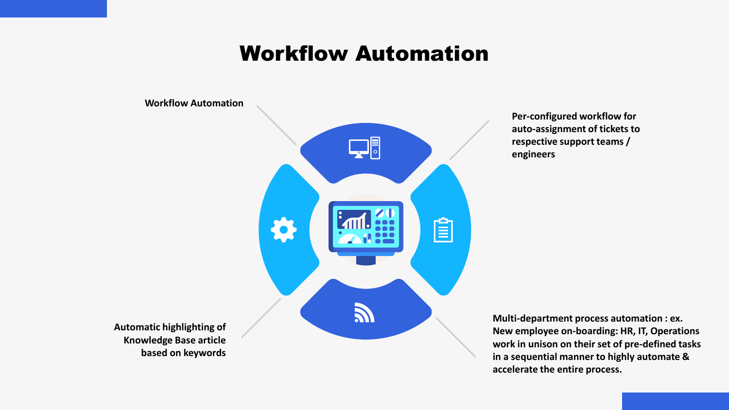### Workflow Automation

**Workflow Automation**



**Per-configured workflow for auto-assignment of tickets to respective support teams / engineers**

**Automatic highlighting of Knowledge Base article based on keywords**

**Multi-department process automation : ex. New employee on-boarding: HR, IT, Operations work in unison on their set of pre-defined tasks in a sequential manner to highly automate & accelerate the entire process.**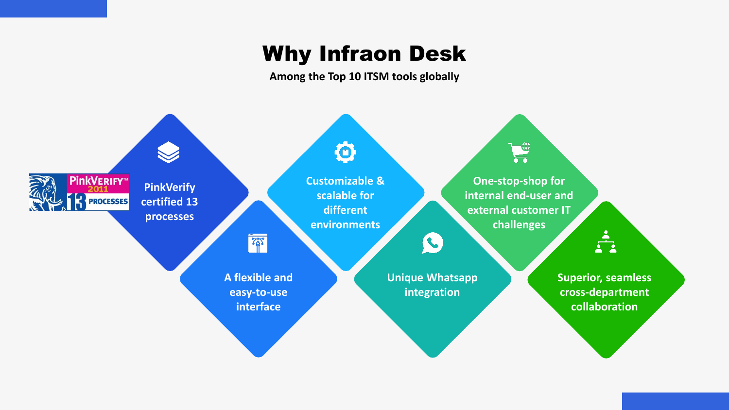### Why Infraon Desk

**Among the Top 10 ITSM tools globally**

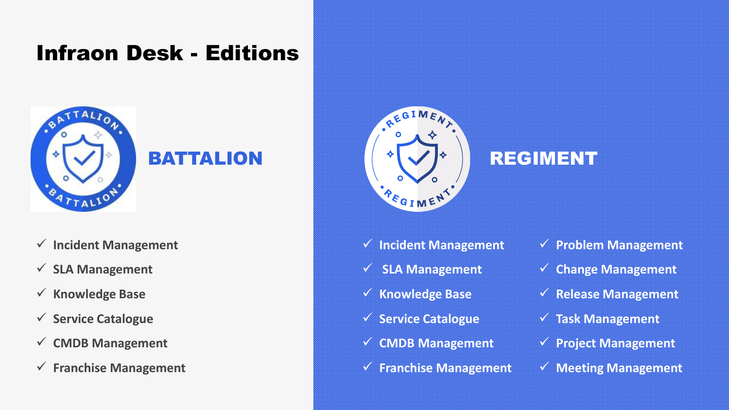### Infraon Desk - Editions



### BATTALION

✓ **Incident Management**

#### ✓ **SLA Management**

- ✓ **Knowledge Base**
- ✓ **Service Catalogue**
- ✓ **CMDB Management**
- ✓ **Franchise Management**



### REGIMENT

- ✓ **Incident Management**
- ✓ **SLA Management**
- ✓ **Knowledge Base**
- ✓ **Service Catalogue**
- ✓ **CMDB Management**
- ✓ **Franchise Management**
- ✓ **Problem Management**
- ✓ **Change Management**
- ✓ **Release Management**
- ✓ **Task Management**
- ✓ **Project Management**
- ✓ **Meeting Management**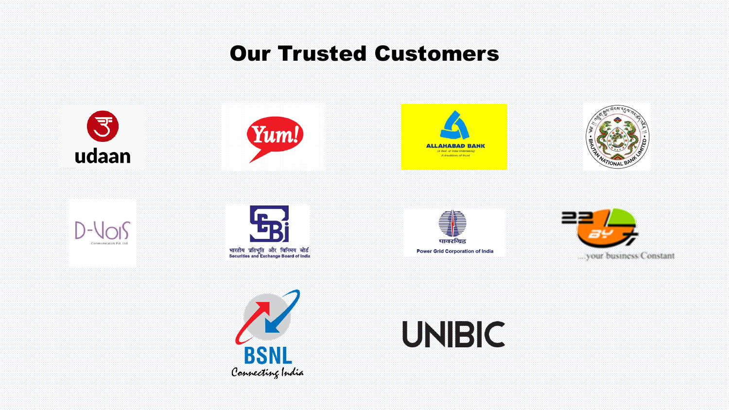### Our Trusted Customers







![](_page_17_Picture_4.jpeg)

![](_page_17_Picture_5.jpeg)

![](_page_17_Picture_6.jpeg)

![](_page_17_Picture_7.jpeg)

![](_page_17_Picture_8.jpeg)

![](_page_17_Picture_9.jpeg)

**Power Grid Corporation of India** 

![](_page_17_Picture_11.jpeg)

![](_page_17_Picture_12.jpeg)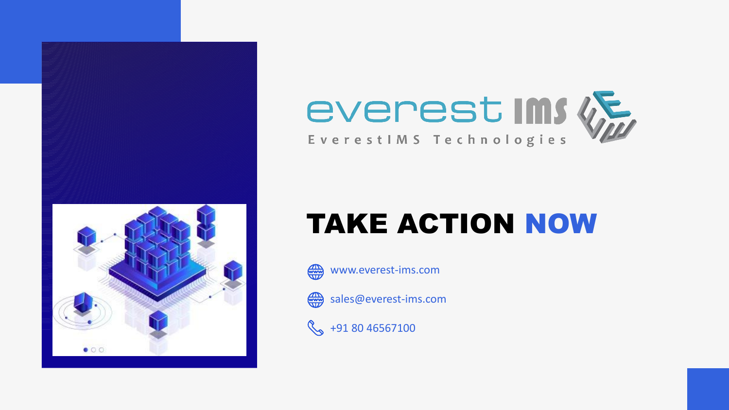![](_page_18_Picture_0.jpeg)

![](_page_18_Picture_1.jpeg)

# TAKE ACTION NOW

![](_page_18_Picture_3.jpeg)

![](_page_18_Picture_4.jpeg)

sales@everest-ims.com

 $\%$  +91 80 46567100